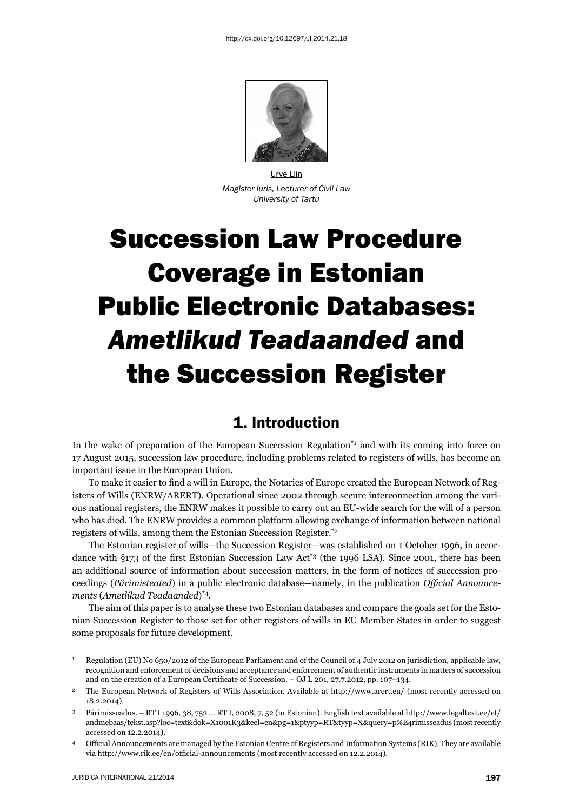

Urve Liin *Magister iuris, Lecturer of Civil Law University of Tartu*

# Succession Law Procedure Coverage in Estonian Public Electronic Databases: *Ametlikud Teadaanded* and the Succession Register

### 1. Introduction

In the wake of preparation of the European Succession Regulation<sup>\*1</sup> and with its coming into force on 17 August 2015, succession law procedure, including problems related to registers of wills, has become an important issue in the European Union.

To make it easier to find a will in Europe, the Notaries of Europe created the European Network of Registers of Wills (ENRW/ARERT). Operational since 2002 through secure interconnection among the various national registers, the ENRW makes it possible to carry out an EU-wide search for the will of a person who has died. The ENRW provides a common platform allowing exchange of information between national registers of wills, among them the Estonian Succession Register.\*2

The Estonian register of wills—the Succession Register—was established on 1 October 1996, in accordance with  $\S 173$  of the first Estonian Succession Law Act<sup>\*3</sup> (the 1996 LSA). Since 2001, there has been an additional source of information about succession matters, in the form of notices of succession proceedings (*Pärimisteated*) in a public electronic database—namely, in the publication *Official Announcements* ( *Ametlikud Teadaanded*)\*4.

The aim of this paper is to analyse these two Estonian databases and compare the goals set for the Estonian Succession Register to those set for other registers of wills in EU Member States in order to suggest some proposals for future development.

<sup>1</sup> Regulation (EU) No 650/2012 of the European Parliament and of the Council of 4 July 2012 on jurisdiction, applicable law, recognition and enforcement of decisions and acceptance and enforcement of authentic instruments in matters of succession and on the creation of a European Certificate of Succession. – OJ L 201, 27.7.2012, pp. 107-134.

<sup>&</sup>lt;sup>2</sup> The European Network of Registers of Wills Association. Available at http://www.arert.eu/ (most recently accessed on 18.2.2014).

<sup>3</sup> Pärimisseadus. – RT I 1996, 38, 752 … RT I, 2008, 7, 52 (in Estonian). English text available at http://www.legaltext.ee/et/ andmebaas/tekst.asp?loc=text&dok=X1001K3&keel=en&pg=1&ptyyp=RT&tyyp=X&query=p%E4rimisseadus (most recently accessed on 12.2.2014).

<sup>&</sup>lt;sup>4</sup> Official Announcements are managed by the Estonian Centre of Registers and Information Systems (RIK). They are available via http://www.rik.ee/en/official-announcements (most recently accessed on 12.2.2014).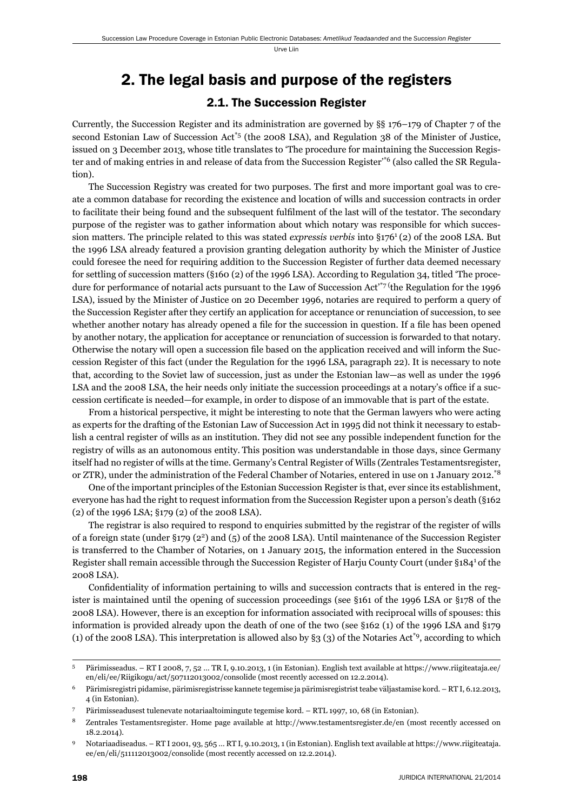## 2. The legal basis and purpose of the registers 2.1. The Succession Register

Currently, the Succession Register and its administration are governed by §§ 176–179 of Chapter 7 of the second Estonian Law of Succession Act\*5 (the 2008 LSA), and Regulation 38 of the Minister of Justice, issued on 3 December 2013, whose title translates to 'The procedure for maintaining the Succession Register and of making entries in and release of data from the Succession Register'\*6 (also called the SR Regulation).

The Succession Registry was created for two purposes. The first and more important goal was to create a common database for recording the existence and location of wills and succession contracts in order to facilitate their being found and the subsequent fulfilment of the last will of the testator. The secondary purpose of the register was to gather information about which notary was responsible for which succession matters. The principle related to this was stated *expressis verbis* into §1761 (2) of the 2008 LSA. But the 1996 LSA already featured a provision granting delegation authority by which the Minister of Justice could foresee the need for requiring addition to the Succession Register of further data deemed necessary for settling of succession matters (§160 (2) of the 1996 LSA). According to Regulation 34, titled 'The procedure for performance of notarial acts pursuant to the Law of Succession Act'\*7 (the Regulation for the 1996 LSA), issued by the Minister of Justice on 20 December 1996, notaries are required to perform a query of the Succession Register after they certify an application for acceptance or renunciation of succession, to see whether another notary has already opened a file for the succession in question. If a file has been opened by another notary, the application for acceptance or renunciation of succession is forwarded to that notary. Otherwise the notary will open a succession file based on the application received and will inform the Succession Register of this fact (under the Regulation for the 1996 LSA, paragraph 22). It is necessary to note that, according to the Soviet law of succession, just as under the Estonian law—as well as under the 1996 LSA and the 2008 LSA, the heir needs only initiate the succession proceedings at a notary's office if a succession certificate is needed—for example, in order to dispose of an immovable that is part of the estate.

From a historical perspective, it might be interesting to note that the German lawyers who were acting as experts for the drafting of the Estonian Law of Succession Act in 1995 did not think it necessary to establish a central register of wills as an institution. They did not see any possible independent function for the registry of wills as an autonomous entity. This position was understandable in those days, since Germany itself had no register of wills at the time. Germany's Central Register of Wills (Zentrales Testamentsregister, or ZTR), under the administration of the Federal Chamber of Notaries, entered in use on 1 January 2012.\*8

One of the important principles of the Estonian Succession Register is that, ever since its establishment, everyone has had the right to request information from the Succession Register upon a person's death (§162 (2) of the 1996 LSA; §179 (2) of the 2008 LSA).

The registrar is also required to respond to enquiries submitted by the registrar of the register of wills of a foreign state (under §179 (22) and (5) of the 2008 LSA). Until maintenance of the Succession Register is transferred to the Chamber of Notaries, on 1 January 2015, the information entered in the Succession Register shall remain accessible through the Succession Register of Harju County Court (under §1841 of the 2008 LSA).

Confidentiality of information pertaining to wills and succession contracts that is entered in the register is maintained until the opening of succession proceedings (see §161 of the 1996 LSA or §178 of the 2008 LSA). However, there is an exception for information associated with reciprocal wills of spouses: this information is provided already upon the death of one of the two (see §162 (1) of the 1996 LSA and §179 (1) of the 2008 LSA). This interpretation is allowed also by §3 (3) of the Notaries Act\*9, according to which

<sup>5</sup> Pärimisseadus. – RT I 2008, 7, 52 … TR I, 9.10.2013, 1 (in Estonian). English text available at https://www.riigiteataja.ee/ en/eli/ee/Riigikogu/act/507112013002/consolide (most recently accessed on 12.2.2014).

<sup>6</sup> Pärimisregistri pidamise, pärimisregistrisse kannete tegemise ja pärimisregistrist teabe väljastamise kord. – RT I, 6.12.2013, 4 (in Estonian).

<sup>7</sup> Pärimisseadusest tulenevate notariaaltoimingute tegemise kord. – RTL 1997, 10, 68 (in Estonian).

<sup>8</sup> Zentrales Testamentsregister. Home page available at http://www.testamentsregister.de/en (most recently accessed on 18.2.2014).

<sup>9</sup> Notariaadiseadus. – RT I 2001, 93, 565 … RT I, 9.10.2013, 1 (in Estonian). English text available at https://www.riigiteataja. ee/en/eli/511112013002/consolide (most recently accessed on 12.2.2014).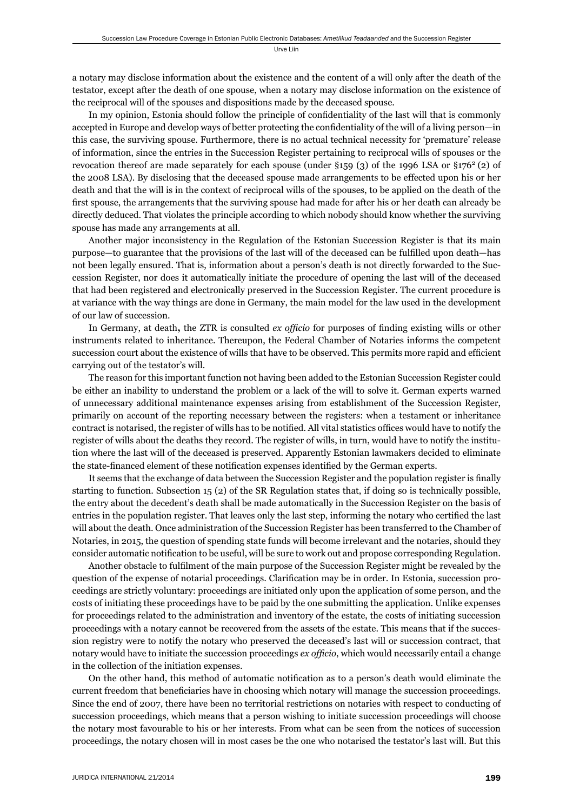a notary may disclose information about the existence and the content of a will only after the death of the testator, except after the death of one spouse, when a notary may disclose information on the existence of the reciprocal will of the spouses and dispositions made by the deceased spouse.

In my opinion, Estonia should follow the principle of confidentiality of the last will that is commonly accepted in Europe and develop ways of better protecting the confidentiality of the will of a living person—in this case, the surviving spouse. Furthermore, there is no actual technical necessity for 'premature' release of information, since the entries in the Succession Register pertaining to reciprocal wills of spouses or the revocation thereof are made separately for each spouse (under  $\S 159$  (3) of the 1996 LSA or  $\S 176^2$  (2) of the 2008 LSA). By disclosing that the deceased spouse made arrangements to be effected upon his or her death and that the will is in the context of reciprocal wills of the spouses, to be applied on the death of the first spouse, the arrangements that the surviving spouse had made for after his or her death can already be directly deduced. That violates the principle according to which nobody should know whether the surviving spouse has made any arrangements at all.

Another major inconsistency in the Regulation of the Estonian Succession Register is that its main purpose—to guarantee that the provisions of the last will of the deceased can be fulfilled upon death—has not been legally ensured. That is, information about a person's death is not directly forwarded to the Succession Register, nor does it automatically initiate the procedure of opening the last will of the deceased that had been registered and electronically preserved in the Succession Register. The current procedure is at variance with the way things are done in Germany, the main model for the law used in the development of our law of succession.

In Germany, at death, the ZTR is consulted *ex officio* for purposes of finding existing wills or other instruments related to inheritance. Thereupon, the Federal Chamber of Notaries informs the competent succession court about the existence of wills that have to be observed. This permits more rapid and efficient carrying out of the testator's will.

The reason for this important function not having been added to the Estonian Succession Register could be either an inability to understand the problem or a lack of the will to solve it. German experts warned of unnecessary additional maintenance expenses arising from establishment of the Succession Register, primarily on account of the reporting necessary between the registers: when a testament or inheritance contract is notarised, the register of wills has to be notified. All vital statistics offices would have to notify the register of wills about the deaths they record. The register of wills, in turn, would have to notify the institution where the last will of the deceased is preserved. Apparently Estonian lawmakers decided to eliminate the state-financed element of these notification expenses identified by the German experts.

It seems that the exchange of data between the Succession Register and the population register is finally starting to function. Subsection 15 (2) of the SR Regulation states that, if doing so is technically possible, the entry about the decedent's death shall be made automatically in the Succession Register on the basis of entries in the population register. That leaves only the last step, informing the notary who certified the last will about the death. Once administration of the Succession Register has been transferred to the Chamber of Notaries, in 2015, the question of spending state funds will become irrelevant and the notaries, should they consider automatic notification to be useful, will be sure to work out and propose corresponding Regulation.

Another obstacle to fulfilment of the main purpose of the Succession Register might be revealed by the question of the expense of notarial proceedings. Clarification may be in order. In Estonia, succession proceedings are strictly voluntary: proceedings are initiated only upon the application of some person, and the costs of initiating these proceedings have to be paid by the one submitting the application. Unlike expenses for proceedings related to the administration and inventory of the estate, the costs of initiating succession proceedings with a notary cannot be recovered from the assets of the estate. This means that if the succession registry were to notify the notary who preserved the deceased's last will or succession contract, that notary would have to initiate the succession proceedings *ex officio*, which would necessarily entail a change in the collection of the initiation expenses.

On the other hand, this method of automatic notification as to a person's death would eliminate the current freedom that beneficiaries have in choosing which notary will manage the succession proceedings. Since the end of 2007, there have been no territorial restrictions on notaries with respect to conducting of succession proceedings, which means that a person wishing to initiate succession proceedings will choose the notary most favourable to his or her interests. From what can be seen from the notices of succession proceedings, the notary chosen will in most cases be the one who notarised the testator's last will. But this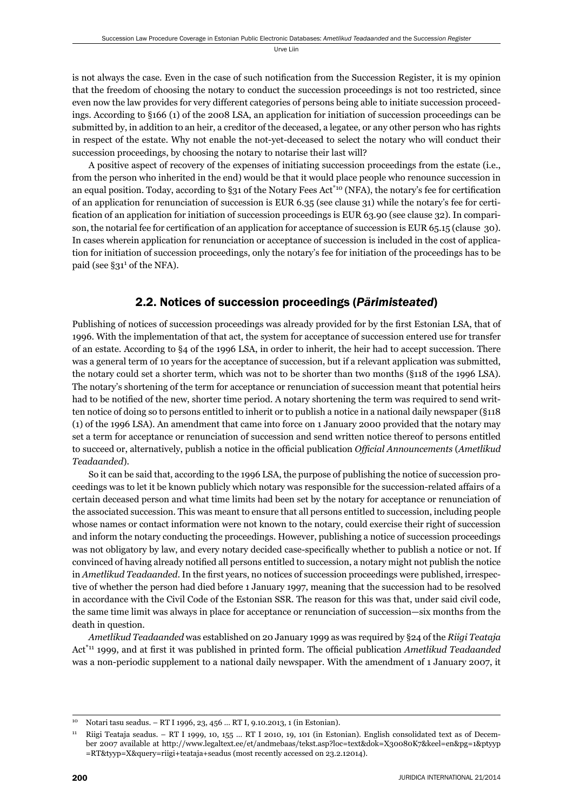is not always the case. Even in the case of such notification from the Succession Register, it is my opinion that the freedom of choosing the notary to conduct the succession proceedings is not too restricted, since even now the law provides for very different categories of persons being able to initiate succession proceedings. According to §166 (1) of the 2008 LSA, an application for initiation of succession proceedings can be submitted by, in addition to an heir, a creditor of the deceased, a legatee, or any other person who has rights in respect of the estate. Why not enable the not-yet-deceased to select the notary who will conduct their succession proceedings, by choosing the notary to notarise their last will?

A positive aspect of recovery of the expenses of initiating succession proceedings from the estate (i.e., from the person who inherited in the end) would be that it would place people who renounce succession in an equal position. Today, according to §31 of the Notary Fees Act<sup>\*10</sup> (NFA), the notary's fee for certification of an application for renunciation of succession is EUR 6.35 (see clause 31) while the notary's fee for certification of an application for initiation of succession proceedings is EUR 63.90 (see clause 32). In comparison, the notarial fee for certification of an application for acceptance of succession is EUR 65.15 (clause 30). In cases wherein application for renunciation or acceptance of succession is included in the cost of application for initiation of succession proceedings, only the notary's fee for initiation of the proceedings has to be paid (see §31<sup>1</sup> of the NFA).

### 2.2. Notices of succession proceedings (*Pärimisteated*)

Publishing of notices of succession proceedings was already provided for by the first Estonian LSA, that of 1996. With the implementation of that act, the system for acceptance of succession entered use for transfer of an estate. According to §4 of the 1996 LSA, in order to inherit, the heir had to accept succession. There was a general term of 10 years for the acceptance of succession, but if a relevant application was submitted, the notary could set a shorter term, which was not to be shorter than two months (§118 of the 1996 LSA). The notary's shortening of the term for acceptance or renunciation of succession meant that potential heirs had to be notified of the new, shorter time period. A notary shortening the term was required to send written notice of doing so to persons entitled to inherit or to publish a notice in a national daily newspaper (§118 (1) of the 1996 LSA). An amendment that came into force on 1 January 2000 provided that the notary may set a term for acceptance or renunciation of succession and send written notice thereof to persons entitled to succeed or, alternatively, publish a notice in the official publication *Official Announcements* (*Ametlikud Teadaanded*).

So it can be said that, according to the 1996 LSA, the purpose of publishing the notice of succession proceedings was to let it be known publicly which notary was responsible for the succession-related affairs of a certain deceased person and what time limits had been set by the notary for acceptance or renunciation of the associated succession. This was meant to ensure that all persons entitled to succession, including people whose names or contact information were not known to the notary, could exercise their right of succession and inform the notary conducting the proceedings. However, publishing a notice of succession proceedings was not obligatory by law, and every notary decided case-specifically whether to publish a notice or not. If convinced of having already notified all persons entitled to succession, a notary might not publish the notice in *Ametlikud Teadaanded*. In the first years, no notices of succession proceedings were published, irrespective of whether the person had died before 1 January 1997, meaning that the succession had to be resolved in accordance with the Civil Code of the Estonian SSR. The reason for this was that, under said civil code, the same time limit was always in place for acceptance or renunciation of succession—six months from the death in question.

*Ametlikud Teadaanded* was established on 20 January 1999 as was required by §24 of the *Riigi Teataja* Act<sup>\*11</sup> 1999, and at first it was published in printed form. The official publication *Ametlikud Teadaanded* was a non-periodic supplement to a national daily newspaper. With the amendment of 1 January 2007, it

<sup>10</sup> Notari tasu seadus. – RT I 1996, 23, 456 … RT I, 9.10.2013, 1 (in Estonian).

<sup>11</sup> Riigi Teataja seadus. – RT I 1999, 10, 155 … RT I 2010, 19, 101 (in Estonian). English consolidated text as of December 2007 available at http://www.legaltext.ee/et/andmebaas/tekst.asp?loc=text&dok=X30080K7&keel=en&pg=1&ptyyp =RT&tyyp=X&query=riigi+teataja+seadus (most recently accessed on 23.2.12014).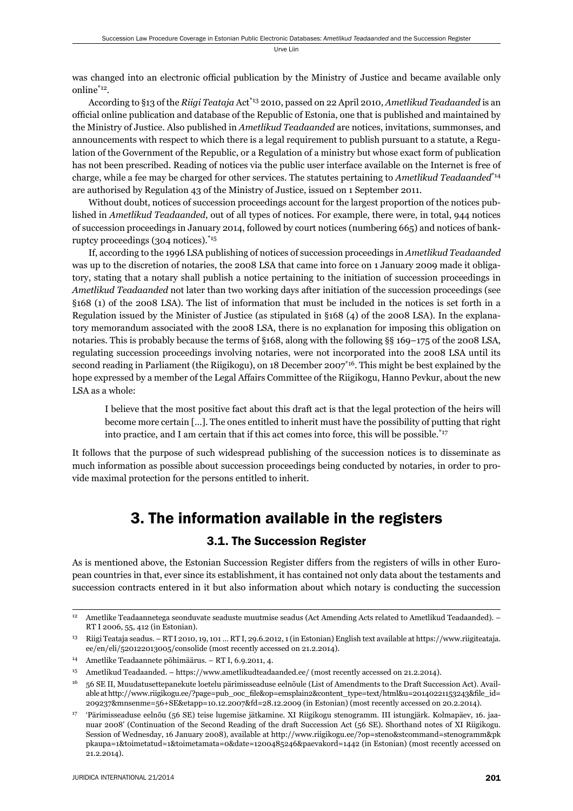was changed into an electronic official publication by the Ministry of Justice and became available only online\*12.

According to §13 of the *Riigi Teataja* Act\*13 2010, passed on 22 April 2010, *Ametlikud Teadaanded* is an official online publication and database of the Republic of Estonia, one that is published and maintained by the Ministry of Justice. Also published in *Ametlikud Teadaanded* are notices, invitations, summonses, and announcements with respect to which there is a legal requirement to publish pursuant to a statute, a Regulation of the Government of the Republic, or a Regulation of a ministry but whose exact form of publication has not been prescribed. Reading of notices via the public user interface available on the Internet is free of charge, while a fee may be charged for other services. The statutes pertaining to *Ametlikud Teadaanded*\*14 are authorised by Regulation 43 of the Ministry of Justice, issued on 1 September 2011.

Without doubt, notices of succession proceedings account for the largest proportion of the notices published in *Ametlikud Teadaanded*, out of all types of notices. For example, there were, in total, 944 notices of succession proceedings in January 2014, followed by court notices (numbering 665) and notices of bankruptcy proceedings (304 notices).\*15

If, according to the 1996 LSA publishing of notices of succession proceedings in *Ametlikud Teadaanded* was up to the discretion of notaries, the 2008 LSA that came into force on 1 January 2009 made it obligatory, stating that a notary shall publish a notice pertaining to the initiation of succession proceedings in *Ametlikud Teadaanded* not later than two working days after initiation of the succession proceedings (see §168 (1) of the 2008 LSA). The list of information that must be included in the notices is set forth in a Regulation issued by the Minister of Justice (as stipulated in §168 (4) of the 2008 LSA). In the explanatory memorandum associated with the 2008 LSA, there is no explanation for imposing this obligation on notaries. This is probably because the terms of §168, along with the following §§ 169–175 of the 2008 LSA, regulating succession proceedings involving notaries, were not incorporated into the 2008 LSA until its second reading in Parliament (the Riigikogu), on 18 December 2007<sup>\*16</sup>. This might be best explained by the hope expressed by a member of the Legal Affairs Committee of the Riigikogu, Hanno Pevkur, about the new LSA as a whole:

I believe that the most positive fact about this draft act is that the legal protection of the heirs will become more certain […]. The ones entitled to inherit must have the possibility of putting that right into practice, and I am certain that if this act comes into force, this will be possible.<sup>\*17</sup>

It follows that the purpose of such widespread publishing of the succession notices is to disseminate as much information as possible about succession proceedings being conducted by notaries, in order to provide maximal protection for the persons entitled to inherit.

# 3. The information available in the registers

### 3.1. The Succession Register

As is mentioned above, the Estonian Succession Register differs from the registers of wills in other European countries in that, ever since its establishment, it has contained not only data about the testaments and succession contracts entered in it but also information about which notary is conducting the succession

<sup>12</sup> Ametlike Teadaannetega seonduvate seaduste muutmise seadus (Act Amending Acts related to Ametlikud Teadaanded). – RT I 2006, 55, 412 (in Estonian).

<sup>13</sup> Riigi Teataja seadus. – RT I 2010, 19, 101 … RT I, 29.6.2012, 1 (in Estonian) English text available at https://www.riigiteataja. ee/en/eli/520122013005/consolide (most recently accessed on 21.2.2014).

<sup>14</sup> Ametlike Teadaannete põhimäärus. – RT I, 6.9.2011, 4.

<sup>15</sup> Ametlikud Teadaanded. – https://www.ametlikudteadaanded.ee/ (most recently accessed on 21.2.2014).

<sup>16 56</sup> SE II, Muudatusettepanekute loetelu pärimisseaduse eelnõule (List of Amendments to the Draft Succession Act). Available at http://www.riigikogu.ee/?page=pub\_ooc\_file&op=emsplain2&content\_type=text/html&u=20140221153243&file\_id= 209237&mnsenme=56+SE&etapp=10.12.2007&fd=28.12.2009 (in Estonian) (most recently accessed on 20.2.2014).

<sup>17 &#</sup>x27;Pärimisseaduse eelnõu (56 SE) teise lugemise jätkamine. XI Riigikogu stenogramm. III istungjärk. Kolmapäev, 16. jaanuar 2008' (Continuation of the Second Reading of the draft Succession Act (56 SE). Shorthand notes of XI Riigikogu. Session of Wednesday, 16 January 2008), available at http://www.riigikogu.ee/?op=steno&stcommand=stenogramm&pk pkaupa=1&toimetatud=1&toimetamata=0&date=1200485246&paevakord=1442 (in Estonian) (most recently accessed on 21.2.2014).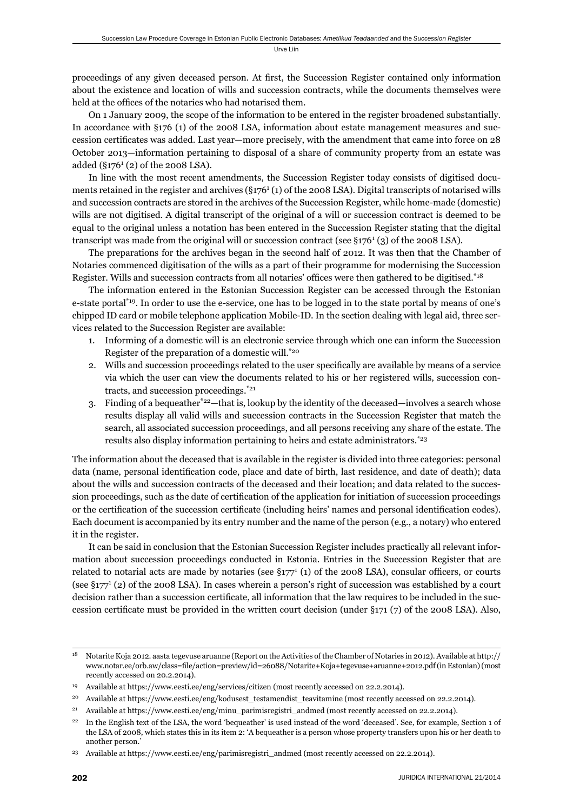proceedings of any given deceased person. At first, the Succession Register contained only information about the existence and location of wills and succession contracts, while the documents themselves were held at the offices of the notaries who had notarised them.

On 1 January 2009, the scope of the information to be entered in the register broadened substantially. In accordance with §176 (1) of the 2008 LSA, information about estate management measures and succession certificates was added. Last year—more precisely, with the amendment that came into force on 28 October 2013—information pertaining to disposal of a share of community property from an estate was added (§176<sup>1</sup> (2) of the 2008 LSA).

In line with the most recent amendments, the Succession Register today consists of digitised documents retained in the register and archives (§176<sup>1</sup> (1) of the 2008 LSA). Digital transcripts of notarised wills and succession contracts are stored in the archives of the Succession Register, while home-made (domestic) wills are not digitised. A digital transcript of the original of a will or succession contract is deemed to be equal to the original unless a notation has been entered in the Succession Register stating that the digital transcript was made from the original will or succession contract (see  $\S 176<sup>1</sup>$  (3) of the 2008 LSA).

The preparations for the archives began in the second half of 2012. It was then that the Chamber of Notaries commenced digitisation of the wills as a part of their programme for modernising the Succession Register. Wills and succession contracts from all notaries' offices were then gathered to be digitised.\*18

The information entered in the Estonian Succession Register can be accessed through the Estonian e-state portal\*19. In order to use the e-service, one has to be logged in to the state portal by means of one's chipped ID card or mobile telephone application Mobile-ID. In the section dealing with legal aid, three services related to the Succession Register are available:

- 1. Informing of a domestic will is an electronic service through which one can inform the Succession Register of the preparation of a domestic will.\*20
- 2. Wills and succession proceedings related to the user specifically are available by means of a service via which the user can view the documents related to his or her registered wills, succession contracts, and succession proceedings.\*21
- 3. Finding of a bequeather  $2^2$ —that is, lookup by the identity of the deceased—involves a search whose results display all valid wills and succession contracts in the Succession Register that match the search, all associated succession proceedings, and all persons receiving any share of the estate. The results also display information pertaining to heirs and estate administrators.\*23

The information about the deceased that is available in the register is divided into three categories: personal data (name, personal identification code, place and date of birth, last residence, and date of death); data about the wills and succession contracts of the deceased and their location; and data related to the succession proceedings, such as the date of certification of the application for initiation of succession proceedings or the certification of the succession certificate (including heirs' names and personal identification codes). Each document is accompanied by its entry number and the name of the person (e.g., a notary) who entered it in the register.

It can be said in conclusion that the Estonian Succession Register includes practically all relevant information about succession proceedings conducted in Estonia. Entries in the Succession Register that are related to notarial acts are made by notaries (see  $\S 177<sup>1</sup>$  (1) of the 2008 LSA), consular officers, or courts (see §1771 (2) of the 2008 LSA). In cases wherein a person's right of succession was established by a court decision rather than a succession certificate, all information that the law requires to be included in the succession certificate must be provided in the written court decision (under  $\S$ 171 (7) of the 2008 LSA). Also,

<sup>18</sup> Notarite Koja 2012. aasta tegevuse aruanne (Report on the Activities of the Chamber of Notaries in 2012). Available at http:// www.notar.ee/orb.aw/class=file/action=preview/id=26088/Notarite+Koja+tegevuse+aruanne+2012.pdf (in Estonian) (most recently accessed on 20.2.2014).

<sup>19</sup> Available at https://www.eesti.ee/eng/services/citizen (most recently accessed on 22.2.2014).

<sup>&</sup>lt;sup>20</sup> Available at https://www.eesti.ee/eng/kodusest\_testamendist\_teavitamine (most recently accessed on 22.2.2014).

<sup>21</sup> Available at https://www.eesti.ee/eng/minu\_parimisregistri\_andmed (most recently accessed on 22.2.2014).

<sup>&</sup>lt;sup>22</sup> In the English text of the LSA, the word 'bequeather' is used instead of the word 'deceased'. See, for example, Section 1 of the LSA of 2008, which states this in its item 2: 'A bequeather is a person whose property transfers upon his or her death to another person.'

<sup>23</sup> Available at https://www.eesti.ee/eng/parimisregistri\_andmed (most recently accessed on 22.2.2014).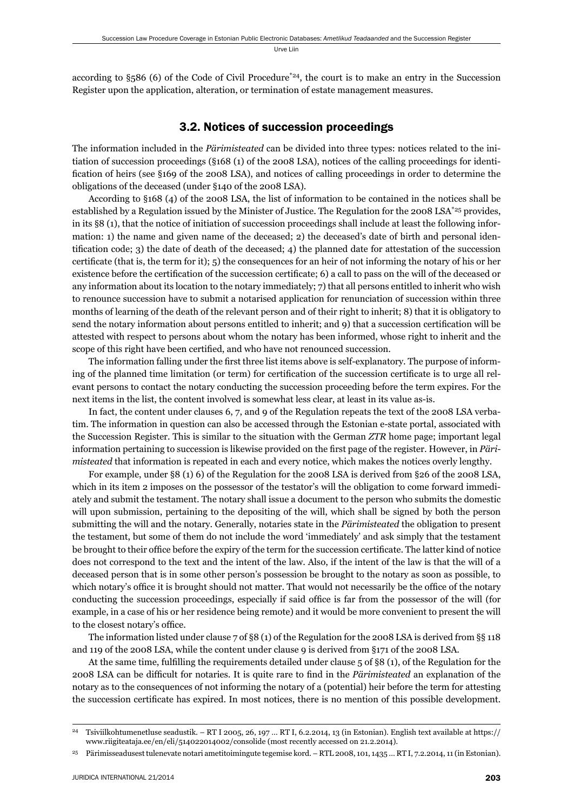according to  $\S_586$  (6) of the Code of Civil Procedure<sup>\*24</sup>, the court is to make an entry in the Succession Register upon the application, alteration, or termination of estate management measures.

#### 3.2. Notices of succession proceedings

The information included in the *Pärimisteated* can be divided into three types: notices related to the initiation of succession proceedings (§168 (1) of the 2008 LSA), notices of the calling proceedings for identification of heirs (see §169 of the 2008 LSA), and notices of calling proceedings in order to determine the obligations of the deceased (under §140 of the 2008 LSA).

According to §168 (4) of the 2008 LSA, the list of information to be contained in the notices shall be established by a Regulation issued by the Minister of Justice. The Regulation for the 2008 LSA<sup>\*25</sup> provides, in its §8 (1), that the notice of initiation of succession proceedings shall include at least the following information: 1) the name and given name of the deceased; 2) the deceased's date of birth and personal identification code; 3) the date of death of the deceased; 4) the planned date for attestation of the succession certificate (that is, the term for it); 5) the consequences for an heir of not informing the notary of his or her existence before the certification of the succession certificate; 6) a call to pass on the will of the deceased or any information about its location to the notary immediately; 7) that all persons entitled to inherit who wish to renounce succession have to submit a notarised application for renunciation of succession within three months of learning of the death of the relevant person and of their right to inherit; 8) that it is obligatory to send the notary information about persons entitled to inherit; and 9) that a succession certification will be attested with respect to persons about whom the notary has been informed, whose right to inherit and the scope of this right have been certified, and who have not renounced succession.

The information falling under the first three list items above is self-explanatory. The purpose of informing of the planned time limitation (or term) for certification of the succession certificate is to urge all relevant persons to contact the notary conducting the succession proceeding before the term expires. For the next items in the list, the content involved is somewhat less clear, at least in its value as-is.

In fact, the content under clauses 6, 7, and 9 of the Regulation repeats the text of the 2008 LSA verbatim. The information in question can also be accessed through the Estonian e-state portal, associated with the Succession Register. This is similar to the situation with the German *ZTR* home page; important legal information pertaining to succession is likewise provided on the first page of the register. However, in *Pärimisteated* that information is repeated in each and every notice, which makes the notices overly lengthy.

For example, under §8 (1) 6) of the Regulation for the 2008 LSA is derived from §26 of the 2008 LSA, which in its item 2 imposes on the possessor of the testator's will the obligation to come forward immediately and submit the testament. The notary shall issue a document to the person who submits the domestic will upon submission, pertaining to the depositing of the will, which shall be signed by both the person submitting the will and the notary. Generally, notaries state in the *Pärimisteated* the obligation to present the testament, but some of them do not include the word 'immediately' and ask simply that the testament be brought to their office before the expiry of the term for the succession certificate. The latter kind of notice does not correspond to the text and the intent of the law. Also, if the intent of the law is that the will of a deceased person that is in some other person's possession be brought to the notary as soon as possible, to which notary's office it is brought should not matter. That would not necessarily be the office of the notary conducting the succession proceedings, especially if said office is far from the possessor of the will (for example, in a case of his or her residence being remote) and it would be more convenient to present the will to the closest notary's office.

The information listed under clause 7 of §8 (1) of the Regulation for the 2008 LSA is derived from §§ 118 and 119 of the 2008 LSA, while the content under clause 9 is derived from §171 of the 2008 LSA.

At the same time, fulfilling the requirements detailed under clause  $5$  of §8 (1), of the Regulation for the 2008 LSA can be difficult for notaries. It is quite rare to find in the *Pärimisteated* an explanation of the notary as to the consequences of not informing the notary of a (potential) heir before the term for attesting the succession certificate has expired. In most notices, there is no mention of this possible development.

<sup>24</sup> Tsiviilkohtumenetluse seadustik. – RT I 2005, 26, 197 … RT I, 6.2.2014, 13 (in Estonian). English text available at https:// www.riigiteataja.ee/en/eli/514022014002/consolide (most recently accessed on 21.2.2014).

<sup>25</sup> Pärimisseadusest tulenevate notari ametitoimingute tegemise kord. – RTL 2008, 101, 1435 … RT I, 7.2.2014, 11 (in Estonian).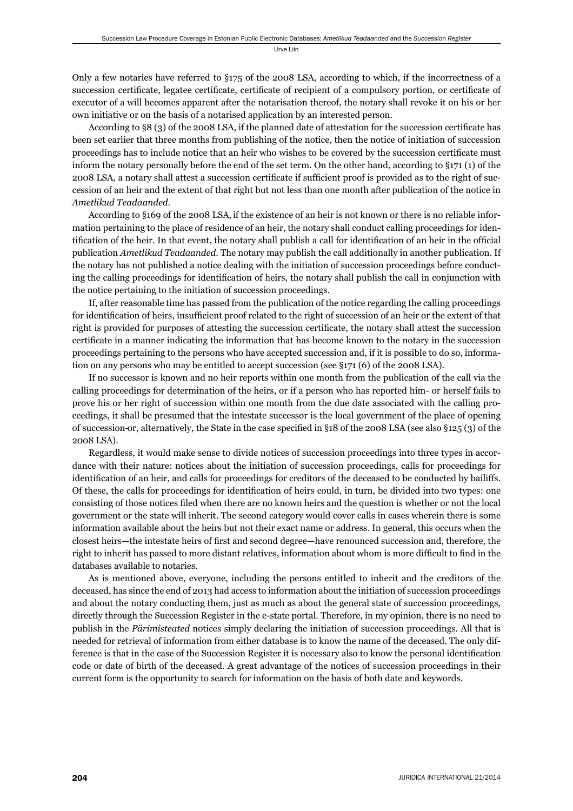Only a few notaries have referred to §175 of the 2008 LSA, according to which, if the incorrectness of a succession certificate, legatee certificate, certificate of recipient of a compulsory portion, or certificate of executor of a will becomes apparent after the notarisation thereof, the notary shall revoke it on his or her own initiative or on the basis of a notarised application by an interested person.

According to §8 (3) of the 2008 LSA, if the planned date of attestation for the succession certificate has been set earlier that three months from publishing of the notice, then the notice of initiation of succession proceedings has to include notice that an heir who wishes to be covered by the succession certificate must inform the notary personally before the end of the set term. On the other hand, according to §171 (1) of the 2008 LSA, a notary shall attest a succession certificate if sufficient proof is provided as to the right of succession of an heir and the extent of that right but not less than one month after publication of the notice in *Ametlikud Teadaanded*.

According to §169 of the 2008 LSA, if the existence of an heir is not known or there is no reliable information pertaining to the place of residence of an heir, the notary shall conduct calling proceedings for identification of the heir. In that event, the notary shall publish a call for identification of an heir in the official publication *Ametlikud Teadaanded*. The notary may publish the call additionally in another publication. If the notary has not published a notice dealing with the initiation of succession proceedings before conducting the calling proceedings for identification of heirs, the notary shall publish the call in conjunction with the notice pertaining to the initiation of succession proceedings.

If, after reasonable time has passed from the publication of the notice regarding the calling proceedings for identification of heirs, insufficient proof related to the right of succession of an heir or the extent of that right is provided for purposes of attesting the succession certificate, the notary shall attest the succession certificate in a manner indicating the information that has become known to the notary in the succession proceedings pertaining to the persons who have accepted succession and, if it is possible to do so, information on any persons who may be entitled to accept succession (see §171 (6) of the 2008 LSA).

If no successor is known and no heir reports within one month from the publication of the call via the calling proceedings for determination of the heirs, or if a person who has reported him- or herself fails to prove his or her right of succession within one month from the due date associated with the calling proceedings, it shall be presumed that the intestate successor is the local government of the place of opening of succession-or, alternatively, the State in the case specified in §18 of the 2008 LSA (see also §125 (3) of the 2008 LSA).

Regardless, it would make sense to divide notices of succession proceedings into three types in accordance with their nature: notices about the initiation of succession proceedings, calls for proceedings for identification of an heir, and calls for proceedings for creditors of the deceased to be conducted by bailiffs. Of these, the calls for proceedings for identification of heirs could, in turn, be divided into two types: one consisting of those notices filed when there are no known heirs and the question is whether or not the local government or the state will inherit. The second category would cover calls in cases wherein there is some information available about the heirs but not their exact name or address. In general, this occurs when the closest heirs—the intestate heirs of first and second degree—have renounced succession and, therefore, the right to inherit has passed to more distant relatives, information about whom is more difficult to find in the databases available to notaries.

As is mentioned above, everyone, including the persons entitled to inherit and the creditors of the deceased, has since the end of 2013 had access to information about the initiation of succession proceedings and about the notary conducting them, just as much as about the general state of succession proceedings, directly through the Succession Register in the e-state portal. Therefore, in my opinion, there is no need to publish in the *Pärimisteated* notices simply declaring the initiation of succession proceedings. All that is needed for retrieval of information from either database is to know the name of the deceased. The only difference is that in the case of the Succession Register it is necessary also to know the personal identification code or date of birth of the deceased. A great advantage of the notices of succession proceedings in their current form is the opportunity to search for information on the basis of both date and keywords.